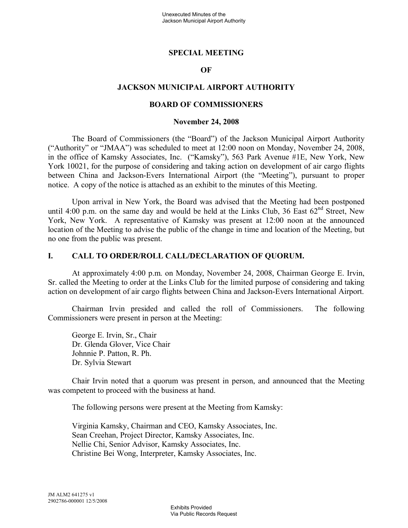## **SPECIAL MEETING**

## **OF**

## **JACKSON MUNICIPAL AIRPORT AUTHORITY**

### **BOARD OF COMMISSIONERS**

#### **November 24, 2008**

The Board of Commissioners (the "Board") of the Jackson Municipal Airport Authority ("Authority" or "JMAA") was scheduled to meet at 12:00 noon on Monday, November 24, 2008, in the office of Kamsky Associates, Inc. ("Kamsky"), 563 Park Avenue #1E, New York, New York 10021, for the purpose of considering and taking action on development of air cargo flights between China and Jackson-Evers International Airport (the "Meeting"), pursuant to proper notice. A copy of the notice is attached as an exhibit to the minutes of this Meeting.

Upon arrival in New York, the Board was advised that the Meeting had been postponed until 4:00 p.m. on the same day and would be held at the Links Club, 36 East  $62<sup>nd</sup>$  Street, New York, New York. A representative of Kamsky was present at 12:00 noon at the announced location of the Meeting to advise the public of the change in time and location of the Meeting, but no one from the public was present.

#### **I. CALL TO ORDER/ROLL CALL/DECLARATION OF QUORUM.**

At approximately 4:00 p.m. on Monday, November 24, 2008, Chairman George E. Irvin, Sr. called the Meeting to order at the Links Club for the limited purpose of considering and taking action on development of air cargo flights between China and Jackson-Evers International Airport.

Chairman Irvin presided and called the roll of Commissioners. The following Commissioners were present in person at the Meeting:

George E. Irvin, Sr., Chair Dr. Glenda Glover, Vice Chair Johnnie P. Patton, R. Ph. Dr. Sylvia Stewart

Chair Irvin noted that a quorum was present in person, and announced that the Meeting was competent to proceed with the business at hand.

The following persons were present at the Meeting from Kamsky:

Virginia Kamsky, Chairman and CEO, Kamsky Associates, Inc. Sean Creehan, Project Director, Kamsky Associates, Inc. Nellie Chi, Senior Advisor, Kamsky Associates, Inc. Christine Bei Wong, Interpreter, Kamsky Associates, Inc.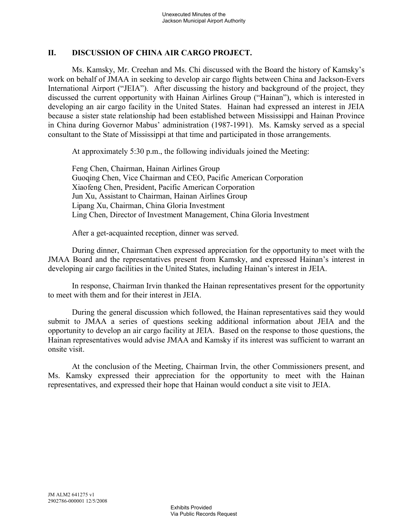## **II. DISCUSSION OF CHINA AIR CARGO PROJECT.**

Ms. Kamsky, Mr. Creehan and Ms. Chi discussed with the Board the history of Kamsky's work on behalf of JMAA in seeking to develop air cargo flights between China and Jackson-Evers International Airport ("JEIA"). After discussing the history and background of the project, they discussed the current opportunity with Hainan Airlines Group ("Hainan"), which is interested in developing an air cargo facility in the United States. Hainan had expressed an interest in JEIA because a sister state relationship had been established between Mississippi and Hainan Province in China during Governor Mabus' administration (1987-1991). Ms. Kamsky served as a special consultant to the State of Mississippi at that time and participated in those arrangements.

At approximately 5:30 p.m., the following individuals joined the Meeting:

Feng Chen, Chairman, Hainan Airlines Group Guoqing Chen, Vice Chairman and CEO, Pacific American Corporation Xiaofeng Chen, President, Pacific American Corporation Jun Xu, Assistant to Chairman, Hainan Airlines Group Lipang Xu, Chairman, China Gloria Investment Ling Chen, Director of Investment Management, China Gloria Investment

After a get-acquainted reception, dinner was served.

During dinner, Chairman Chen expressed appreciation for the opportunity to meet with the JMAA Board and the representatives present from Kamsky, and expressed Hainan's interest in developing air cargo facilities in the United States, including Hainan's interest in JEIA.

In response, Chairman Irvin thanked the Hainan representatives present for the opportunity to meet with them and for their interest in JEIA.

During the general discussion which followed, the Hainan representatives said they would submit to JMAA a series of questions seeking additional information about JEIA and the opportunity to develop an air cargo facility at JEIA. Based on the response to those questions, the Hainan representatives would advise JMAA and Kamsky if its interest was sufficient to warrant an onsite visit.

At the conclusion of the Meeting, Chairman Irvin, the other Commissioners present, and Ms. Kamsky expressed their appreciation for the opportunity to meet with the Hainan representatives, and expressed their hope that Hainan would conduct a site visit to JEIA.